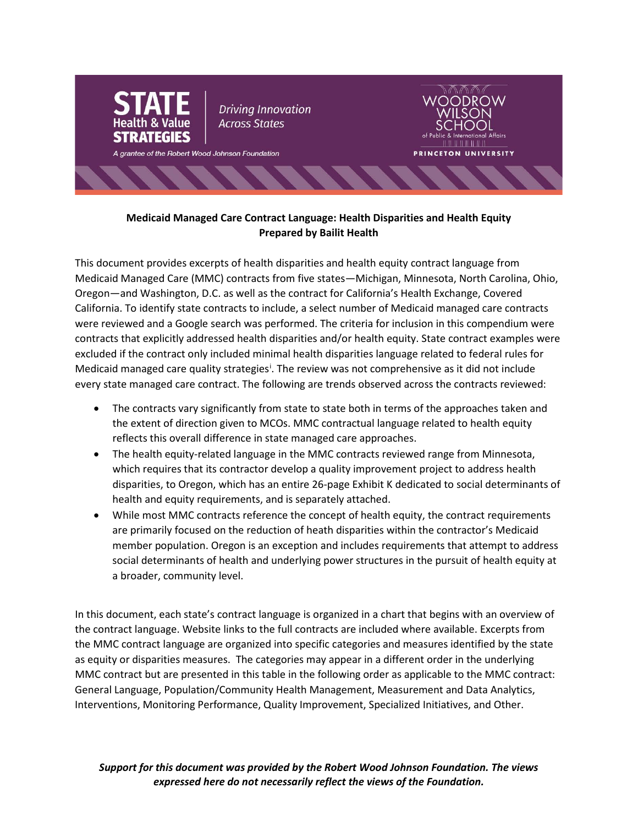

# **Medicaid Managed Care Contract Language: Health Disparities and Health Equity Prepared by Bailit Health**

This document provides excerpts of health disparities and health equity contract language from Medicaid Managed Care (MMC) contracts from five states—Michigan, Minnesota, North Carolina, Ohio, Oregon—and Washington, D.C. as well as the contract for California's Health Exchange, Covered California. To identify state contracts to include, a select number of Medicaid managed care contracts were reviewed and a Google search was performed. The criteria for inclusion in this compendium were contracts that explicitly addressed health disparities and/or health equity. State contract examples were excluded if the contract only included minimal health disparities language related to federal rules for Med[i](#page-19-0)caid managed care quality strategies<sup>i</sup>. The review was not comprehensive as it did not include every state managed care contract. The following are trends observed across the contracts reviewed:

- The contracts vary significantly from state to state both in terms of the approaches taken and the extent of direction given to MCOs. MMC contractual language related to health equity reflects this overall difference in state managed care approaches.
- The health equity-related language in the MMC contracts reviewed range from Minnesota, which requires that its contractor develop a quality improvement project to address health disparities, to Oregon, which has an entire 26-page Exhibit K dedicated to social determinants of health and equity requirements, and is separately attached.
- While most MMC contracts reference the concept of health equity, the contract requirements are primarily focused on the reduction of heath disparities within the contractor's Medicaid member population. Oregon is an exception and includes requirements that attempt to address social determinants of health and underlying power structures in the pursuit of health equity at a broader, community level.

In this document, each state's contract language is organized in a chart that begins with an overview of the contract language. Website links to the full contracts are included where available. Excerpts from the MMC contract language are organized into specific categories and measures identified by the state as equity or disparities measures. The categories may appear in a different order in the underlying MMC contract but are presented in this table in the following order as applicable to the MMC contract: General Language, Population/Community Health Management, Measurement and Data Analytics, Interventions, Monitoring Performance, Quality Improvement, Specialized Initiatives, and Other.

*Support for this document was provided by the Robert Wood Johnson Foundation. The views expressed here do not necessarily reflect the views of the Foundation.*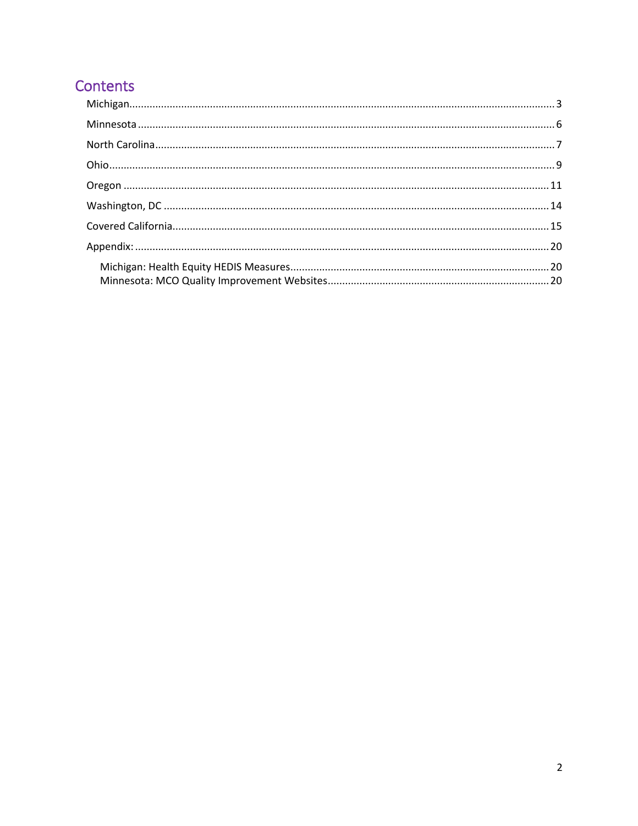# Contents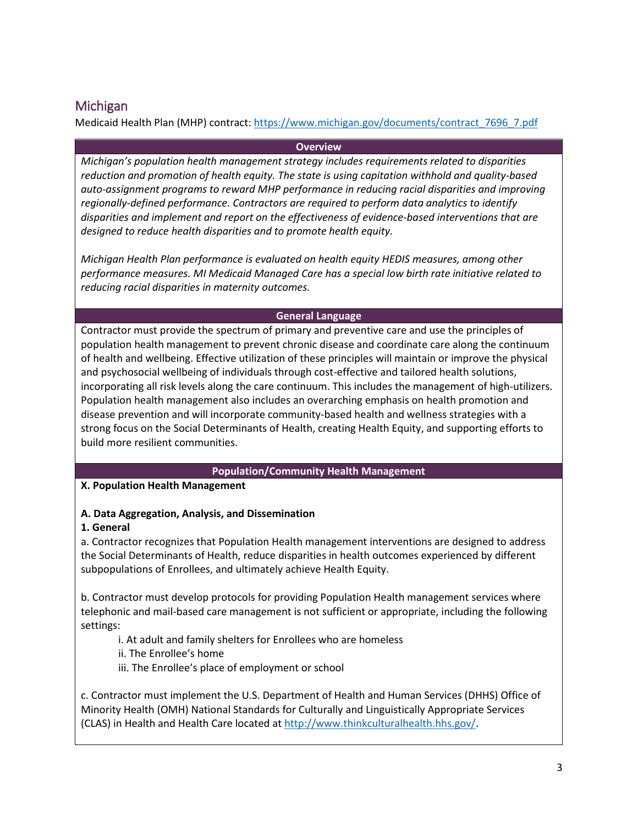# <span id="page-2-0"></span>Michigan

Medicaid Health Plan (MHP) contract[: https://www.michigan.gov/documents/contract\\_7696\\_7.pdf](https://www.michigan.gov/documents/contract_7696_7.pdf)

### **Overview**

*Michigan's population health management strategy includes requirements related to disparities reduction and promotion of health equity. The state is using capitation withhold and quality-based auto-assignment programs to reward MHP performance in reducing racial disparities and improving regionally-defined performance. Contractors are required to perform data analytics to identify disparities and implement and report on the effectiveness of evidence-based interventions that are designed to reduce health disparities and to promote health equity.* 

*Michigan Health Plan performance is evaluated on health equity HEDIS measures, among other performance measures. MI Medicaid Managed Care has a special low birth rate initiative related to reducing racial disparities in maternity outcomes.*

# **General Language**

Contractor must provide the spectrum of primary and preventive care and use the principles of population health management to prevent chronic disease and coordinate care along the continuum of health and wellbeing. Effective utilization of these principles will maintain or improve the physical and psychosocial wellbeing of individuals through cost-effective and tailored health solutions, incorporating all risk levels along the care continuum. This includes the management of high-utilizers. Population health management also includes an overarching emphasis on health promotion and disease prevention and will incorporate community-based health and wellness strategies with a strong focus on the Social Determinants of Health, creating Health Equity, and supporting efforts to build more resilient communities.

#### **Population/Community Health Management**

# **X. Population Health Management**

# **A. Data Aggregation, Analysis, and Dissemination**

# **1. General**

a. Contractor recognizes that Population Health management interventions are designed to address the Social Determinants of Health, reduce disparities in health outcomes experienced by different subpopulations of Enrollees, and ultimately achieve Health Equity.

b. Contractor must develop protocols for providing Population Health management services where telephonic and mail-based care management is not sufficient or appropriate, including the following settings:

- i. At adult and family shelters for Enrollees who are homeless
- ii. The Enrollee's home
- iii. The Enrollee's place of employment or school

c. Contractor must implement the U.S. Department of Health and Human Services (DHHS) Office of Minority Health (OMH) National Standards for Culturally and Linguistically Appropriate Services (CLAS) in Health and Health Care located at [http://www.thinkculturalhealth.hhs.gov/.](http://www.thinkculturalhealth.hhs.gov/)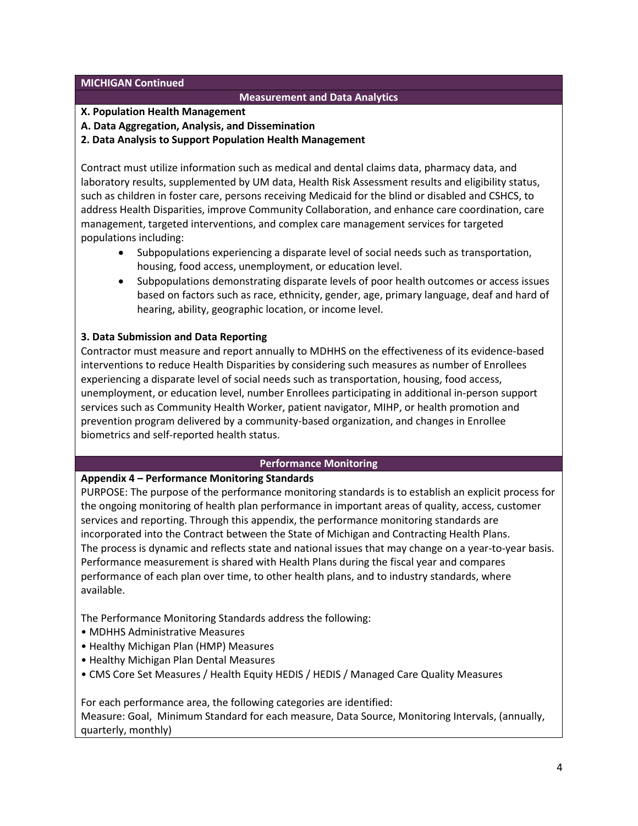#### **MICHIGAN Continued**

#### **Measurement and Data Analytics**

#### **X. Population Health Management**

#### **A. Data Aggregation, Analysis, and Dissemination**

**2. Data Analysis to Support Population Health Management**

Contract must utilize information such as medical and dental claims data, pharmacy data, and laboratory results, supplemented by UM data, Health Risk Assessment results and eligibility status, such as children in foster care, persons receiving Medicaid for the blind or disabled and CSHCS, to address Health Disparities, improve Community Collaboration, and enhance care coordination, care management, targeted interventions, and complex care management services for targeted populations including:

- Subpopulations experiencing a disparate level of social needs such as transportation, housing, food access, unemployment, or education level.
- Subpopulations demonstrating disparate levels of poor health outcomes or access issues based on factors such as race, ethnicity, gender, age, primary language, deaf and hard of hearing, ability, geographic location, or income level.

#### **3. Data Submission and Data Reporting**

Contractor must measure and report annually to MDHHS on the effectiveness of its evidence-based interventions to reduce Health Disparities by considering such measures as number of Enrollees experiencing a disparate level of social needs such as transportation, housing, food access, unemployment, or education level, number Enrollees participating in additional in-person support services such as Community Health Worker, patient navigator, MIHP, or health promotion and prevention program delivered by a community-based organization, and changes in Enrollee biometrics and self-reported health status.

#### **Performance Monitoring**

#### **Appendix 4 – Performance Monitoring Standards**

PURPOSE: The purpose of the performance monitoring standards is to establish an explicit process for the ongoing monitoring of health plan performance in important areas of quality, access, customer services and reporting. Through this appendix, the performance monitoring standards are incorporated into the Contract between the State of Michigan and Contracting Health Plans. The process is dynamic and reflects state and national issues that may change on a year-to-year basis. Performance measurement is shared with Health Plans during the fiscal year and compares performance of each plan over time, to other health plans, and to industry standards, where available.

The Performance Monitoring Standards address the following:

- MDHHS Administrative Measures
- Healthy Michigan Plan (HMP) Measures
- Healthy Michigan Plan Dental Measures
- CMS Core Set Measures / Health Equity HEDIS / HEDIS / Managed Care Quality Measures

For each performance area, the following categories are identified:

Measure: Goal, Minimum Standard for each measure, Data Source, Monitoring Intervals, (annually, quarterly, monthly)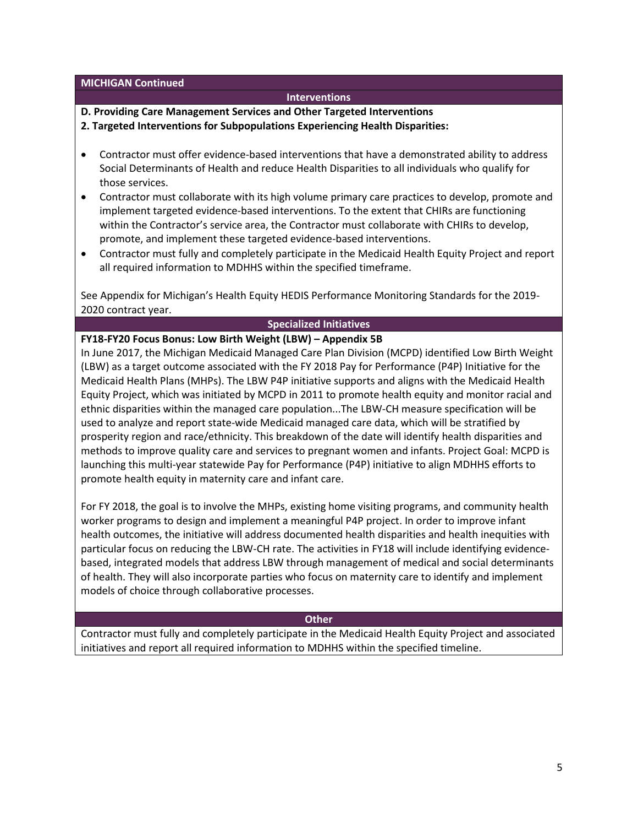**MICHIGAN Continued** 

#### **Interventions**

**D. Providing Care Management Services and Other Targeted Interventions** 

- **2. Targeted Interventions for Subpopulations Experiencing Health Disparities:**
- Contractor must offer evidence-based interventions that have a demonstrated ability to address Social Determinants of Health and reduce Health Disparities to all individuals who qualify for those services.
- Contractor must collaborate with its high volume primary care practices to develop, promote and implement targeted evidence-based interventions. To the extent that CHIRs are functioning within the Contractor's service area, the Contractor must collaborate with CHIRs to develop, promote, and implement these targeted evidence-based interventions.
- Contractor must fully and completely participate in the Medicaid Health Equity Project and report all required information to MDHHS within the specified timeframe.

See Appendix for Michigan's Health Equity HEDIS Performance Monitoring Standards for the 2019- 2020 contract year.

### **Specialized Initiatives**

**FY18-FY20 Focus Bonus: Low Birth Weight (LBW) – Appendix 5B** 

In June 2017, the Michigan Medicaid Managed Care Plan Division (MCPD) identified Low Birth Weight (LBW) as a target outcome associated with the FY 2018 Pay for Performance (P4P) Initiative for the Medicaid Health Plans (MHPs). The LBW P4P initiative supports and aligns with the Medicaid Health Equity Project, which was initiated by MCPD in 2011 to promote health equity and monitor racial and ethnic disparities within the managed care population...The LBW-CH measure specification will be used to analyze and report state-wide Medicaid managed care data, which will be stratified by prosperity region and race/ethnicity. This breakdown of the date will identify health disparities and methods to improve quality care and services to pregnant women and infants. Project Goal: MCPD is launching this multi-year statewide Pay for Performance (P4P) initiative to align MDHHS efforts to promote health equity in maternity care and infant care.

For FY 2018, the goal is to involve the MHPs, existing home visiting programs, and community health worker programs to design and implement a meaningful P4P project. In order to improve infant health outcomes, the initiative will address documented health disparities and health inequities with particular focus on reducing the LBW-CH rate. The activities in FY18 will include identifying evidencebased, integrated models that address LBW through management of medical and social determinants of health. They will also incorporate parties who focus on maternity care to identify and implement models of choice through collaborative processes.

#### **Other**

Contractor must fully and completely participate in the Medicaid Health Equity Project and associated initiatives and report all required information to MDHHS within the specified timeline.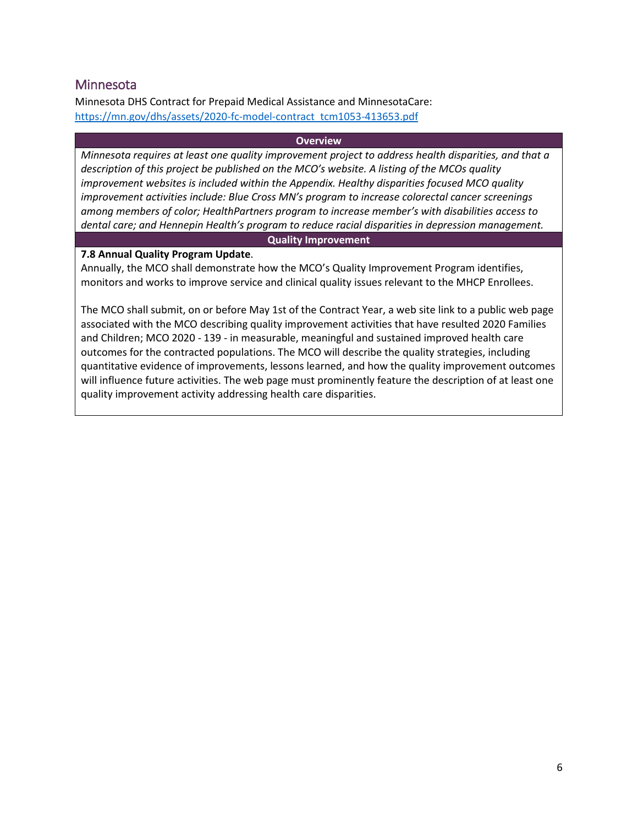# <span id="page-5-0"></span>**Minnesota**

Minnesota DHS Contract for Prepaid Medical Assistance and MinnesotaCare: [https://mn.gov/dhs/assets/2020-fc-model-contract\\_tcm1053-413653.pdf](https://mn.gov/dhs/assets/2020-fc-model-contract_tcm1053-413653.pdf)

#### **Overview**

*Minnesota requires at least one quality improvement project to address health disparities, and that a description of this project be published on the MCO's website. A listing of the MCOs quality improvement websites is included within the Appendix. Healthy disparities focused MCO quality improvement activities include: Blue Cross MN's program to increase colorectal cancer screenings among members of color; HealthPartners program to increase member's with disabilities access to dental care; and Hennepin Health's program to reduce racial disparities in depression management.* 

#### **Quality Improvement**

#### **7.8 Annual Quality Program Update**.

Annually, the MCO shall demonstrate how the MCO's Quality Improvement Program identifies, monitors and works to improve service and clinical quality issues relevant to the MHCP Enrollees.

The MCO shall submit, on or before May 1st of the Contract Year, a web site link to a public web page associated with the MCO describing quality improvement activities that have resulted 2020 Families and Children; MCO 2020 - 139 - in measurable, meaningful and sustained improved health care outcomes for the contracted populations. The MCO will describe the quality strategies, including quantitative evidence of improvements, lessons learned, and how the quality improvement outcomes will influence future activities. The web page must prominently feature the description of at least one quality improvement activity addressing health care disparities.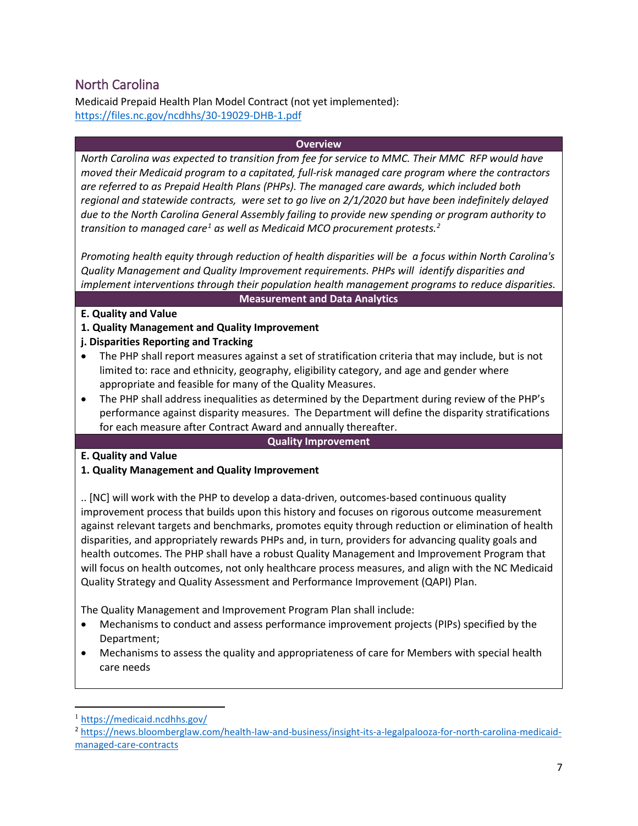# <span id="page-6-0"></span>North Carolina

Medicaid Prepaid Health Plan Model Contract (not yet implemented): <https://files.nc.gov/ncdhhs/30-19029-DHB-1.pdf>

#### **Overview**

*North Carolina was expected to transition from fee for service to MMC. Their MMC RFP would have moved their Medicaid program to a capitated, full-risk managed care program where the contractors are referred to as Prepaid Health Plans (PHPs). The managed care awards, which included both regional and statewide contracts, were set to go live on 2/1/2020 but have been indefinitely delayed due to the North Carolina General Assembly failing to provide new spending or program authority to transition to managed care[1](#page-6-1) as well as Medicaid MCO procurement protests.[2](#page-6-2)*

*Promoting health equity through reduction of health disparities will be a focus within North Carolina's Quality Management and Quality Improvement requirements. PHPs will identify disparities and implement interventions through their population health management programs to reduce disparities.*

#### **Measurement and Data Analytics**

### **E. Quality and Value**

- **1. Quality Management and Quality Improvement**
- **j. Disparities Reporting and Tracking**
- The PHP shall report measures against a set of stratification criteria that may include, but is not limited to: race and ethnicity, geography, eligibility category, and age and gender where appropriate and feasible for many of the Quality Measures.
- The PHP shall address inequalities as determined by the Department during review of the PHP's performance against disparity measures. The Department will define the disparity stratifications for each measure after Contract Award and annually thereafter.

#### **Quality Improvement**

# **E. Quality and Value**

# **1. Quality Management and Quality Improvement**

.. [NC] will work with the PHP to develop a data-driven, outcomes-based continuous quality improvement process that builds upon this history and focuses on rigorous outcome measurement against relevant targets and benchmarks, promotes equity through reduction or elimination of health disparities, and appropriately rewards PHPs and, in turn, providers for advancing quality goals and health outcomes. The PHP shall have a robust Quality Management and Improvement Program that will focus on health outcomes, not only healthcare process measures, and align with the NC Medicaid Quality Strategy and Quality Assessment and Performance Improvement (QAPI) Plan.

The Quality Management and Improvement Program Plan shall include:

- Mechanisms to conduct and assess performance improvement projects (PIPs) specified by the Department;
- Mechanisms to assess the quality and appropriateness of care for Members with special health care needs

l

<span id="page-6-1"></span><sup>1</sup> <https://medicaid.ncdhhs.gov/>

<span id="page-6-2"></span><sup>2</sup> [https://news.bloomberglaw.com/health-law-and-business/insight-its-a-legalpalooza-for-north-carolina-medicaid](https://news.bloomberglaw.com/health-law-and-business/insight-its-a-legalpalooza-for-north-carolina-medicaid-managed-care-contracts)[managed-care-contracts](https://news.bloomberglaw.com/health-law-and-business/insight-its-a-legalpalooza-for-north-carolina-medicaid-managed-care-contracts)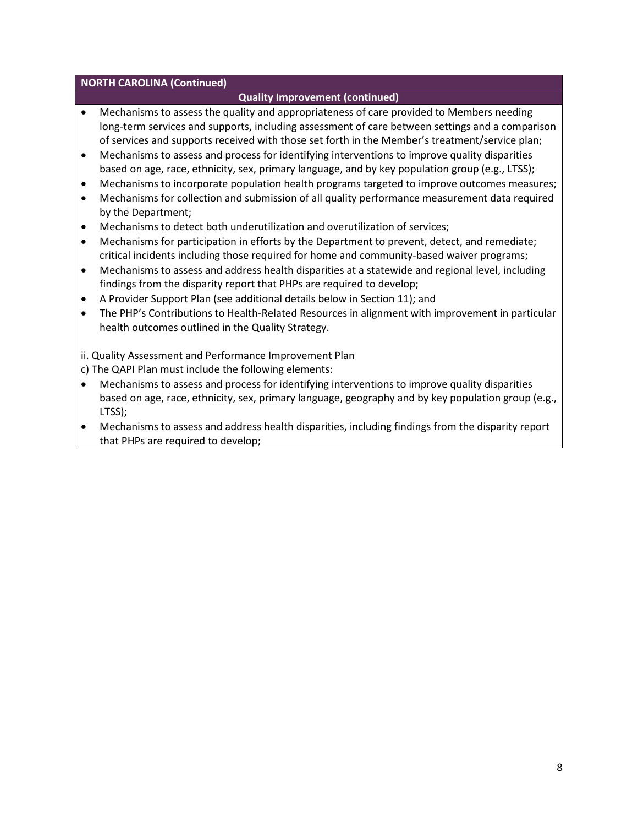#### **NORTH CAROLINA (Continued)**

# **Quality Improvement (continued)**

- Mechanisms to assess the quality and appropriateness of care provided to Members needing long-term services and supports, including assessment of care between settings and a comparison of services and supports received with those set forth in the Member's treatment/service plan;
- Mechanisms to assess and process for identifying interventions to improve quality disparities based on age, race, ethnicity, sex, primary language, and by key population group (e.g., LTSS);
- Mechanisms to incorporate population health programs targeted to improve outcomes measures;
- Mechanisms for collection and submission of all quality performance measurement data required by the Department;
- Mechanisms to detect both underutilization and overutilization of services;
- Mechanisms for participation in efforts by the Department to prevent, detect, and remediate; critical incidents including those required for home and community-based waiver programs;
- Mechanisms to assess and address health disparities at a statewide and regional level, including findings from the disparity report that PHPs are required to develop;
- A Provider Support Plan (see additional details below in Section 11); and
- The PHP's Contributions to Health-Related Resources in alignment with improvement in particular health outcomes outlined in the Quality Strategy.
- ii. Quality Assessment and Performance Improvement Plan
- c) The QAPI Plan must include the following elements:
- Mechanisms to assess and process for identifying interventions to improve quality disparities based on age, race, ethnicity, sex, primary language, geography and by key population group (e.g., LTSS);
- Mechanisms to assess and address health disparities, including findings from the disparity report that PHPs are required to develop;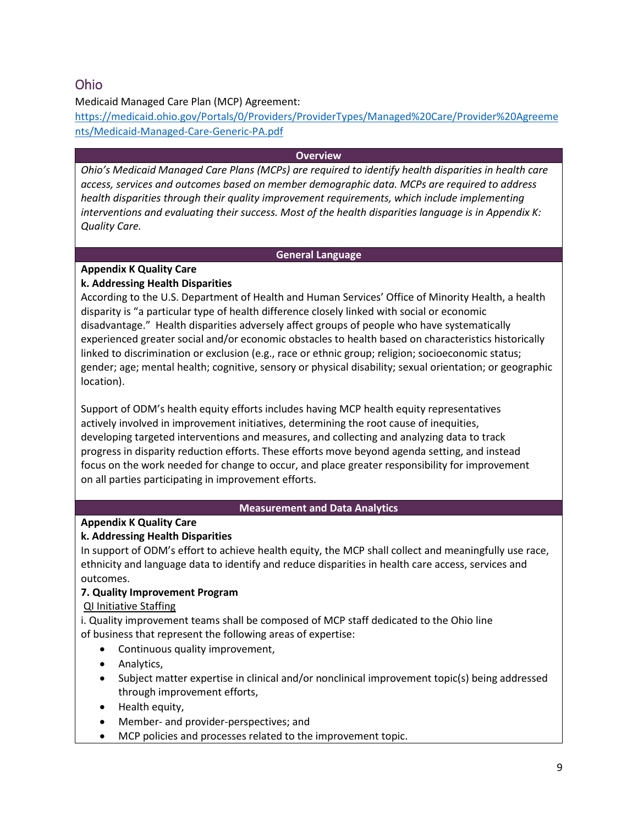# <span id="page-8-0"></span>Ohio

# Medicaid Managed Care Plan (MCP) Agreement:

[https://medicaid.ohio.gov/Portals/0/Providers/ProviderTypes/Managed%20Care/Provider%20Agreeme](https://medicaid.ohio.gov/Portals/0/Providers/ProviderTypes/Managed%20Care/Provider%20Agreements/Medicaid-Managed-Care-Generic-PA.pdf) [nts/Medicaid-Managed-Care-Generic-PA.pdf](https://medicaid.ohio.gov/Portals/0/Providers/ProviderTypes/Managed%20Care/Provider%20Agreements/Medicaid-Managed-Care-Generic-PA.pdf)

#### **Overview**

*Ohio's Medicaid Managed Care Plans (MCPs) are required to identify health disparities in health care access, services and outcomes based on member demographic data. MCPs are required to address health disparities through their quality improvement requirements, which include implementing interventions and evaluating their success. Most of the health disparities language is in Appendix K: Quality Care.* 

### **General Language**

# **Appendix K Quality Care**

# **k. Addressing Health Disparities**

According to the U.S. Department of Health and Human Services' Office of Minority Health, a health disparity is "a particular type of health difference closely linked with social or economic disadvantage." Health disparities adversely affect groups of people who have systematically experienced greater social and/or economic obstacles to health based on characteristics historically linked to discrimination or exclusion (e.g., race or ethnic group; religion; socioeconomic status; gender; age; mental health; cognitive, sensory or physical disability; sexual orientation; or geographic location).

Support of ODM's health equity efforts includes having MCP health equity representatives actively involved in improvement initiatives, determining the root cause of inequities, developing targeted interventions and measures, and collecting and analyzing data to track progress in disparity reduction efforts. These efforts move beyond agenda setting, and instead focus on the work needed for change to occur, and place greater responsibility for improvement on all parties participating in improvement efforts.

# **Measurement and Data Analytics**

# **Appendix K Quality Care**

# **k. Addressing Health Disparities**

In support of ODM's effort to achieve health equity, the MCP shall collect and meaningfully use race, ethnicity and language data to identify and reduce disparities in health care access, services and outcomes.

# **7. Quality Improvement Program**

# QI Initiative Staffing

i. Quality improvement teams shall be composed of MCP staff dedicated to the Ohio line of business that represent the following areas of expertise:

- Continuous quality improvement,
- Analytics,
- Subject matter expertise in clinical and/or nonclinical improvement topic(s) being addressed through improvement efforts,
- Health equity,
- Member- and provider-perspectives; and
- MCP policies and processes related to the improvement topic.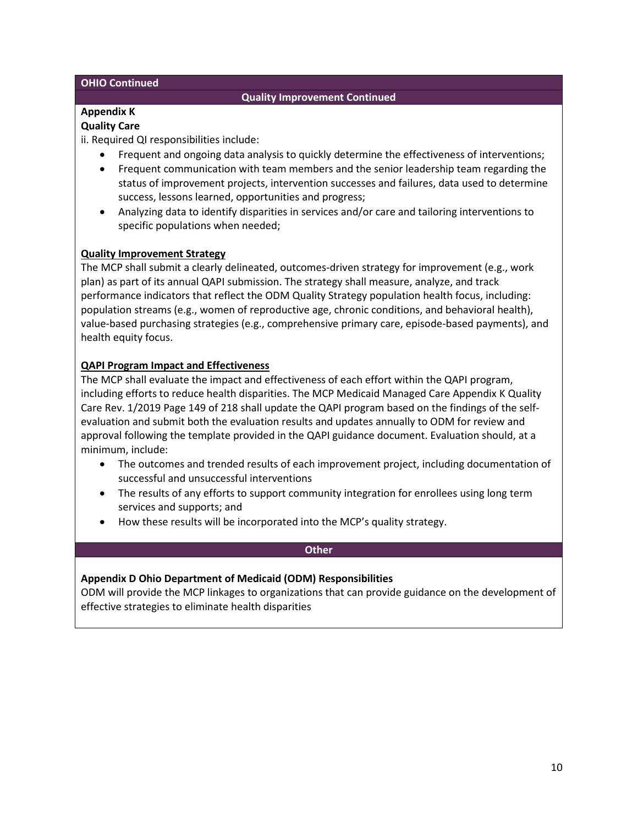#### **OHIO Continued**

### **Quality Improvement Continued**

# **Appendix K**

# **Quality Care**

ii. Required QI responsibilities include:

- Frequent and ongoing data analysis to quickly determine the effectiveness of interventions;
- Frequent communication with team members and the senior leadership team regarding the status of improvement projects, intervention successes and failures, data used to determine success, lessons learned, opportunities and progress;
- Analyzing data to identify disparities in services and/or care and tailoring interventions to specific populations when needed;

### **Quality Improvement Strategy**

The MCP shall submit a clearly delineated, outcomes-driven strategy for improvement (e.g., work plan) as part of its annual QAPI submission. The strategy shall measure, analyze, and track performance indicators that reflect the ODM Quality Strategy population health focus, including: population streams (e.g., women of reproductive age, chronic conditions, and behavioral health), value-based purchasing strategies (e.g., comprehensive primary care, episode-based payments), and health equity focus.

### **QAPI Program Impact and Effectiveness**

The MCP shall evaluate the impact and effectiveness of each effort within the QAPI program, including efforts to reduce health disparities. The MCP Medicaid Managed Care Appendix K Quality Care Rev. 1/2019 Page 149 of 218 shall update the QAPI program based on the findings of the selfevaluation and submit both the evaluation results and updates annually to ODM for review and approval following the template provided in the QAPI guidance document. Evaluation should, at a minimum, include:

- The outcomes and trended results of each improvement project, including documentation of successful and unsuccessful interventions
- The results of any efforts to support community integration for enrollees using long term services and supports; and
- How these results will be incorporated into the MCP's quality strategy.

#### **Other**

# **Appendix D Ohio Department of Medicaid (ODM) Responsibilities**

ODM will provide the MCP linkages to organizations that can provide guidance on the development of effective strategies to eliminate health disparities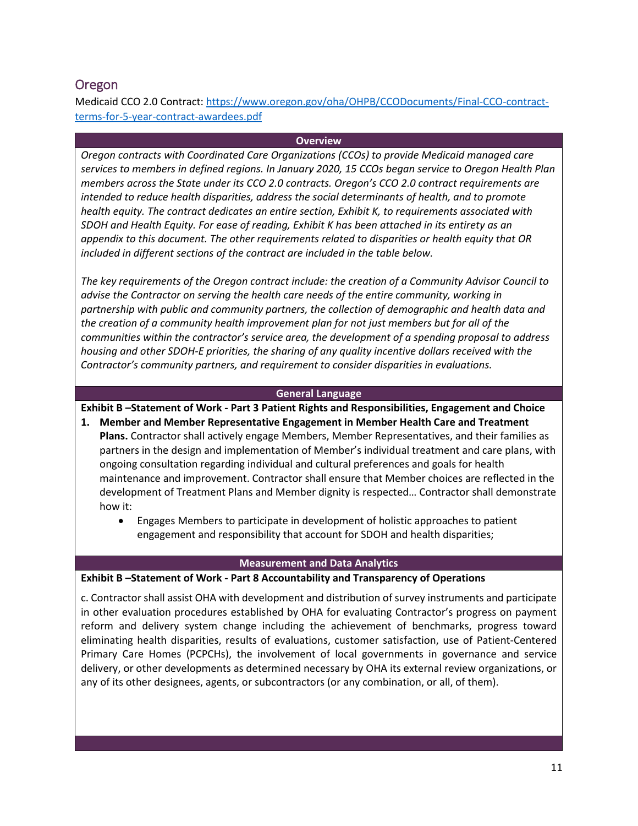# <span id="page-10-0"></span>Oregon

Medicaid CCO 2.0 Contract: [https://www.oregon.gov/oha/OHPB/CCODocuments/Final-CCO-contract](https://www.oregon.gov/oha/OHPB/CCODocuments/Final-CCO-contract-terms-for-5-year-contract-awardees.pdf)[terms-for-5-year-contract-awardees.pdf](https://www.oregon.gov/oha/OHPB/CCODocuments/Final-CCO-contract-terms-for-5-year-contract-awardees.pdf)

#### **Overview**

*Oregon contracts with Coordinated Care Organizations (CCOs) to provide Medicaid managed care services to members in defined regions. In January 2020, 15 CCOs began service to Oregon Health Plan members across the State under its CCO 2.0 contracts. Oregon's CCO 2.0 contract requirements are intended to reduce health disparities, address the social determinants of health, and to promote health equity. The contract dedicates an entire section, Exhibit K, to requirements associated with SDOH and Health Equity. For ease of reading, Exhibit K has been attached in its entirety as an appendix to this document. The other requirements related to disparities or health equity that OR included in different sections of the contract are included in the table below.* 

*The key requirements of the Oregon contract include: the creation of a Community Advisor Council to advise the Contractor on serving the health care needs of the entire community, working in partnership with public and community partners, the collection of demographic and health data and the creation of a community health improvement plan for not just members but for all of the communities within the contractor's service area, the development of a spending proposal to address housing and other SDOH-E priorities, the sharing of any quality incentive dollars received with the Contractor's community partners, and requirement to consider disparities in evaluations.* 

#### **General Language**

### **Exhibit B –Statement of Work - Part 3 Patient Rights and Responsibilities, Engagement and Choice**

- **1. Member and Member Representative Engagement in Member Health Care and Treatment Plans.** Contractor shall actively engage Members, Member Representatives, and their families as partners in the design and implementation of Member's individual treatment and care plans, with ongoing consultation regarding individual and cultural preferences and goals for health maintenance and improvement. Contractor shall ensure that Member choices are reflected in the development of Treatment Plans and Member dignity is respected… Contractor shall demonstrate how it:
	- Engages Members to participate in development of holistic approaches to patient engagement and responsibility that account for SDOH and health disparities;

#### **Measurement and Data Analytics**

#### **Exhibit B –Statement of Work - Part 8 Accountability and Transparency of Operations**

c. Contractor shall assist OHA with development and distribution of survey instruments and participate in other evaluation procedures established by OHA for evaluating Contractor's progress on payment reform and delivery system change including the achievement of benchmarks, progress toward eliminating health disparities, results of evaluations, customer satisfaction, use of Patient-Centered Primary Care Homes (PCPCHs), the involvement of local governments in governance and service delivery, or other developments as determined necessary by OHA its external review organizations, or any of its other designees, agents, or subcontractors (or any combination, or all, of them).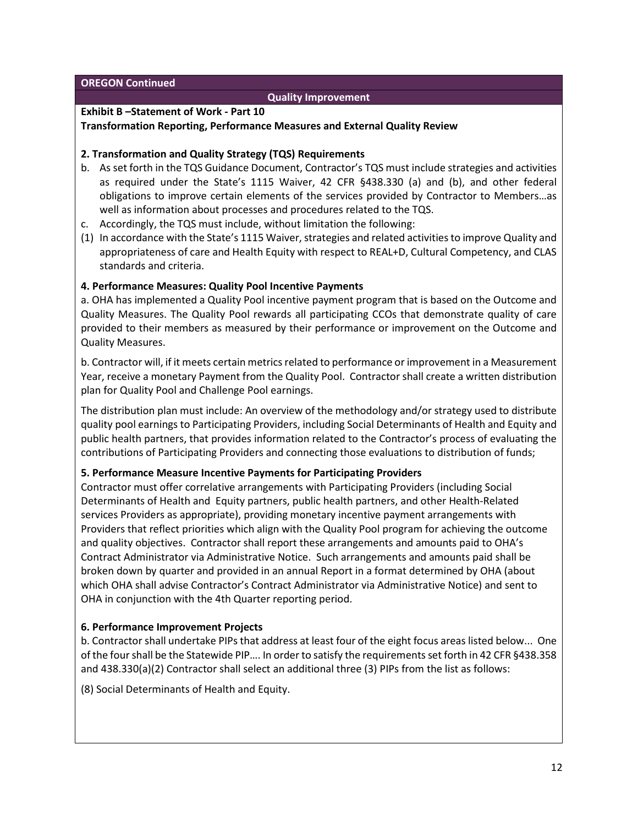**OREGON Continued**

#### **Quality Improvement**

#### **Exhibit B –Statement of Work - Part 10**

#### **Transformation Reporting, Performance Measures and External Quality Review**

#### **2. Transformation and Quality Strategy (TQS) Requirements**

- b. As set forth in the TQS Guidance Document, Contractor's TQS must include strategies and activities as required under the State's 1115 Waiver, 42 CFR §438.330 (a) and (b), and other federal obligations to improve certain elements of the services provided by Contractor to Members…as well as information about processes and procedures related to the TQS.
- c. Accordingly, the TQS must include, without limitation the following:
- (1) In accordance with the State's 1115 Waiver, strategies and related activities to improve Quality and appropriateness of care and Health Equity with respect to REAL+D, Cultural Competency, and CLAS standards and criteria.

#### **4. Performance Measures: Quality Pool Incentive Payments**

a. OHA has implemented a Quality Pool incentive payment program that is based on the Outcome and Quality Measures. The Quality Pool rewards all participating CCOs that demonstrate quality of care provided to their members as measured by their performance or improvement on the Outcome and Quality Measures.

b. Contractor will, if it meets certain metrics related to performance or improvement in a Measurement Year, receive a monetary Payment from the Quality Pool. Contractor shall create a written distribution plan for Quality Pool and Challenge Pool earnings.

The distribution plan must include: An overview of the methodology and/or strategy used to distribute quality pool earnings to Participating Providers, including Social Determinants of Health and Equity and public health partners, that provides information related to the Contractor's process of evaluating the contributions of Participating Providers and connecting those evaluations to distribution of funds;

#### **5. Performance Measure Incentive Payments for Participating Providers**

Contractor must offer correlative arrangements with Participating Providers (including Social Determinants of Health and Equity partners, public health partners, and other Health-Related services Providers as appropriate), providing monetary incentive payment arrangements with Providers that reflect priorities which align with the Quality Pool program for achieving the outcome and quality objectives. Contractor shall report these arrangements and amounts paid to OHA's Contract Administrator via Administrative Notice. Such arrangements and amounts paid shall be broken down by quarter and provided in an annual Report in a format determined by OHA (about which OHA shall advise Contractor's Contract Administrator via Administrative Notice) and sent to OHA in conjunction with the 4th Quarter reporting period.

#### **6. Performance Improvement Projects**

b. Contractor shall undertake PIPs that address at least four of the eight focus areas listed below... One of the four shall be the Statewide PIP…. In order to satisfy the requirements set forth in 42 CFR §438.358 and 438.330(a)(2) Contractor shall select an additional three (3) PIPs from the list as follows:

(8) Social Determinants of Health and Equity.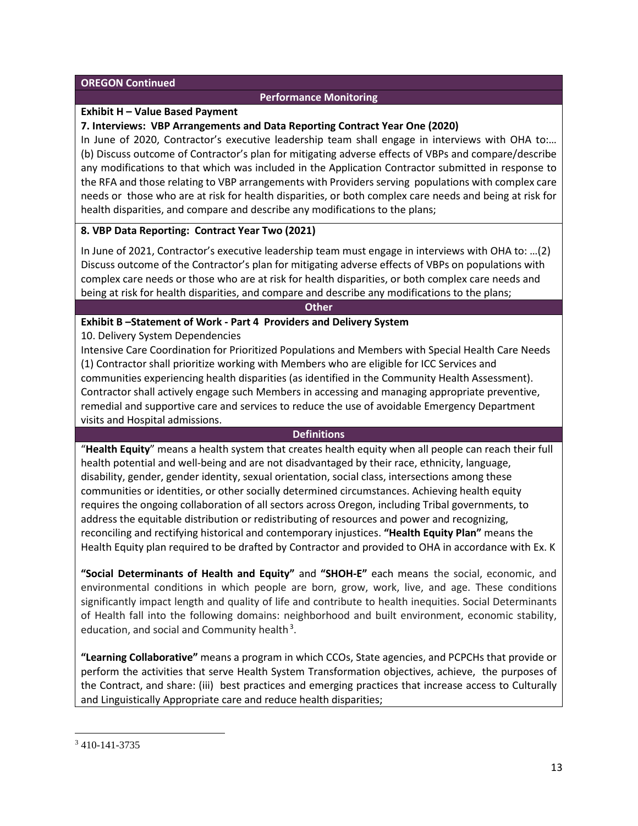#### **OREGON Continued**

### **Performance Monitoring**

#### **Exhibit H – Value Based Payment**

#### **7. Interviews: VBP Arrangements and Data Reporting Contract Year One (2020)**

In June of 2020, Contractor's executive leadership team shall engage in interviews with OHA to:… (b) Discuss outcome of Contractor's plan for mitigating adverse effects of VBPs and compare/describe any modifications to that which was included in the Application Contractor submitted in response to the RFA and those relating to VBP arrangements with Providers serving populations with complex care needs or those who are at risk for health disparities, or both complex care needs and being at risk for health disparities, and compare and describe any modifications to the plans;

#### **8. VBP Data Reporting: Contract Year Two (2021)**

In June of 2021, Contractor's executive leadership team must engage in interviews with OHA to: …(2) Discuss outcome of the Contractor's plan for mitigating adverse effects of VBPs on populations with complex care needs or those who are at risk for health disparities, or both complex care needs and being at risk for health disparities, and compare and describe any modifications to the plans;

#### **Other**

### **Exhibit B –Statement of Work - Part 4 Providers and Delivery System**

10. Delivery System Dependencies

Intensive Care Coordination for Prioritized Populations and Members with Special Health Care Needs (1) Contractor shall prioritize working with Members who are eligible for ICC Services and communities experiencing health disparities (as identified in the Community Health Assessment). Contractor shall actively engage such Members in accessing and managing appropriate preventive, remedial and supportive care and services to reduce the use of avoidable Emergency Department visits and Hospital admissions.

#### **Definitions**

"**Health Equity**" means a health system that creates health equity when all people can reach their full health potential and well-being and are not disadvantaged by their race, ethnicity, language, disability, gender, gender identity, sexual orientation, social class, intersections among these communities or identities, or other socially determined circumstances. Achieving health equity requires the ongoing collaboration of all sectors across Oregon, including Tribal governments, to address the equitable distribution or redistributing of resources and power and recognizing, reconciling and rectifying historical and contemporary injustices. **"Health Equity Plan"** means the Health Equity plan required to be drafted by Contractor and provided to OHA in accordance with Ex. K

**"Social Determinants of Health and Equity"** and **"SHOH-E"** each means the social, economic, and environmental conditions in which people are born, grow, work, live, and age. These conditions significantly impact length and quality of life and contribute to health inequities. Social Determinants of Health fall into the following domains: neighborhood and built environment, economic stability, education, and social and Community health<sup>[3](#page-12-0)</sup>.

**"Learning Collaborative"** means a program in which CCOs, State agencies, and PCPCHs that provide or perform the activities that serve Health System Transformation objectives, achieve, the purposes of the Contract, and share: (iii) best practices and emerging practices that increase access to Culturally and Linguistically Appropriate care and reduce health disparities;

l

<span id="page-12-0"></span><sup>3</sup> 410-141-3735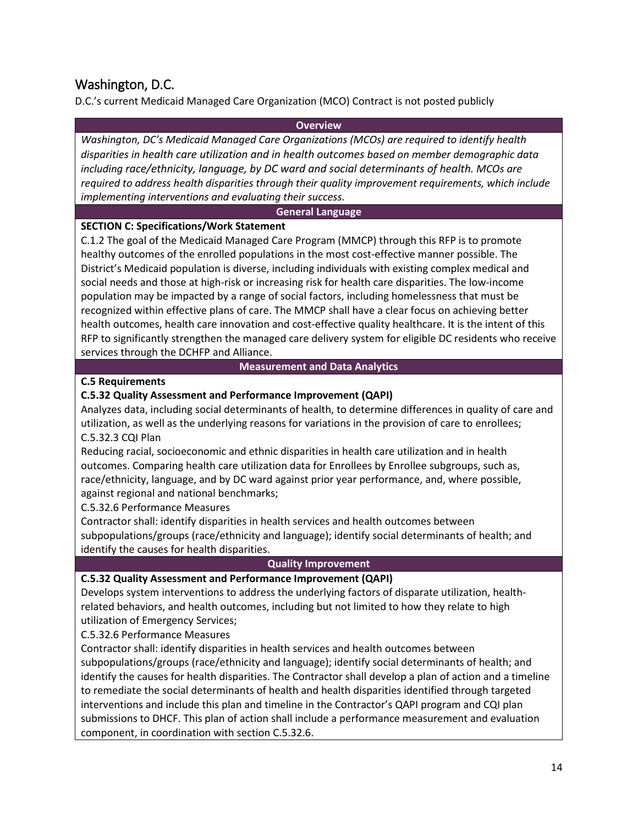# <span id="page-13-0"></span>Washington, D.C.

D.C.'s current Medicaid Managed Care Organization (MCO) Contract is not posted publicly

#### **Overview**

*Washington, DC's Medicaid Managed Care Organizations (MCOs) are required to identify health disparities in health care utilization and in health outcomes based on member demographic data including race/ethnicity, language, by DC ward and social determinants of health. MCOs are required to address health disparities through their quality improvement requirements, which include implementing interventions and evaluating their success.*

#### **General Language**

### **SECTION C: Specifications/Work Statement**

C.1.2 The goal of the Medicaid Managed Care Program (MMCP) through this RFP is to promote healthy outcomes of the enrolled populations in the most cost-effective manner possible. The District's Medicaid population is diverse, including individuals with existing complex medical and social needs and those at high-risk or increasing risk for health care disparities. The low-income population may be impacted by a range of social factors, including homelessness that must be recognized within effective plans of care. The MMCP shall have a clear focus on achieving better health outcomes, health care innovation and cost-effective quality healthcare. It is the intent of this RFP to significantly strengthen the managed care delivery system for eligible DC residents who receive services through the DCHFP and Alliance.

#### **Measurement and Data Analytics**

#### **C.5 Requirements**

# **C.5.32 Quality Assessment and Performance Improvement (QAPI)**

Analyzes data, including social determinants of health, to determine differences in quality of care and utilization, as well as the underlying reasons for variations in the provision of care to enrollees; C.5.32.3 CQI Plan

Reducing racial, socioeconomic and ethnic disparities in health care utilization and in health outcomes. Comparing health care utilization data for Enrollees by Enrollee subgroups, such as, race/ethnicity, language, and by DC ward against prior year performance, and, where possible, against regional and national benchmarks;

C.5.32.6 Performance Measures

Contractor shall: identify disparities in health services and health outcomes between subpopulations/groups (race/ethnicity and language); identify social determinants of health; and identify the causes for health disparities.

# **Quality Improvement**

# **C.5.32 Quality Assessment and Performance Improvement (QAPI)**

Develops system interventions to address the underlying factors of disparate utilization, healthrelated behaviors, and health outcomes, including but not limited to how they relate to high utilization of Emergency Services;

C.5.32.6 Performance Measures

Contractor shall: identify disparities in health services and health outcomes between subpopulations/groups (race/ethnicity and language); identify social determinants of health; and identify the causes for health disparities. The Contractor shall develop a plan of action and a timeline to remediate the social determinants of health and health disparities identified through targeted interventions and include this plan and timeline in the Contractor's QAPI program and CQI plan submissions to DHCF. This plan of action shall include a performance measurement and evaluation component, in coordination with section C.5.32.6.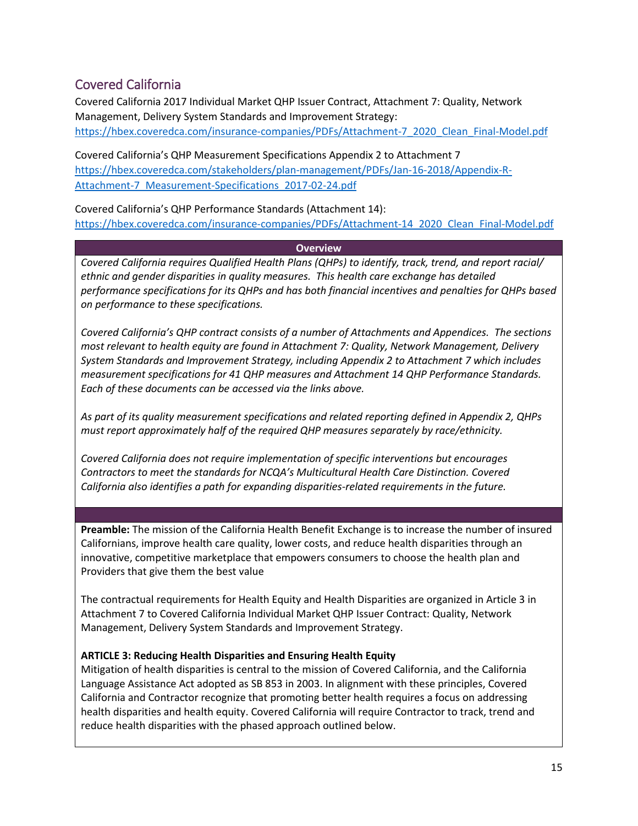# <span id="page-14-0"></span>Covered California

Covered California 2017 Individual Market QHP Issuer Contract, Attachment 7: Quality, Network Management, Delivery System Standards and Improvement Strategy: [https://hbex.coveredca.com/insurance-companies/PDFs/Attachment-7\\_2020\\_Clean\\_Final-Model.pdf](https://hbex.coveredca.com/insurance-companies/PDFs/Attachment-7_2020_Clean_Final-Model.pdf)

Covered California's QHP Measurement Specifications Appendix 2 to Attachment 7 [https://hbex.coveredca.com/stakeholders/plan-management/PDFs/Jan-16-2018/Appendix-R-](https://hbex.coveredca.com/stakeholders/plan-management/PDFs/Jan-16-2018/Appendix-R-Attachment-7_Measurement-Specifications_2017-02-24.pdf)[Attachment-7\\_Measurement-Specifications\\_2017-02-24.pdf](https://hbex.coveredca.com/stakeholders/plan-management/PDFs/Jan-16-2018/Appendix-R-Attachment-7_Measurement-Specifications_2017-02-24.pdf)

Covered California's QHP Performance Standards (Attachment 14): [https://hbex.coveredca.com/insurance-companies/PDFs/Attachment-14\\_2020\\_Clean\\_Final-Model.pdf](https://hbex.coveredca.com/insurance-companies/PDFs/Attachment-14_2020_Clean_Final-Model.pdf)

#### **Overview**

*Covered California requires Qualified Health Plans (QHPs) to identify, track, trend, and report racial/ ethnic and gender disparities in quality measures. This health care exchange has detailed performance specifications for its QHPs and has both financial incentives and penalties for QHPs based on performance to these specifications.* 

*Covered California's QHP contract consists of a number of Attachments and Appendices. The sections most relevant to health equity are found in Attachment 7: Quality, Network Management, Delivery System Standards and Improvement Strategy, including Appendix 2 to Attachment 7 which includes measurement specifications for 41 QHP measures and Attachment 14 QHP Performance Standards. Each of these documents can be accessed via the links above.* 

*As part of its quality measurement specifications and related reporting defined in Appendix 2, QHPs must report approximately half of the required QHP measures separately by race/ethnicity.*

*Covered California does not require implementation of specific interventions but encourages Contractors to meet the standards for NCQA's Multicultural Health Care Distinction. Covered California also identifies a path for expanding disparities-related requirements in the future.*

**Preamble:** The mission of the California Health Benefit Exchange is to increase the number of insured Californians, improve health care quality, lower costs, and reduce health disparities through an innovative, competitive marketplace that empowers consumers to choose the health plan and Providers that give them the best value

The contractual requirements for Health Equity and Health Disparities are organized in Article 3 in Attachment 7 to Covered California Individual Market QHP Issuer Contract: Quality, Network Management, Delivery System Standards and Improvement Strategy.

#### **ARTICLE 3: Reducing Health Disparities and Ensuring Health Equity**

Mitigation of health disparities is central to the mission of Covered California, and the California Language Assistance Act adopted as SB 853 in 2003. In alignment with these principles, Covered California and Contractor recognize that promoting better health requires a focus on addressing health disparities and health equity. Covered California will require Contractor to track, trend and reduce health disparities with the phased approach outlined below.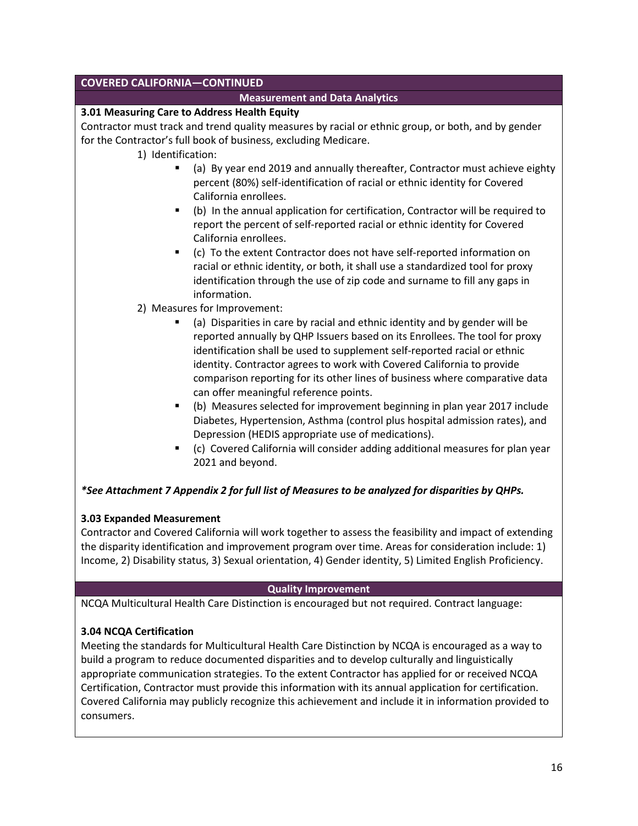# **COVERED CALIFORNIA—CONTINUED**

#### **Measurement and Data Analytics**

#### **3.01 Measuring Care to Address Health Equity**

Contractor must track and trend quality measures by racial or ethnic group, or both, and by gender for the Contractor's full book of business, excluding Medicare.

- 1) Identification:
	- (a) By year end 2019 and annually thereafter, Contractor must achieve eighty percent (80%) self-identification of racial or ethnic identity for Covered California enrollees.
	- (b) In the annual application for certification, Contractor will be required to report the percent of self-reported racial or ethnic identity for Covered California enrollees.
	- (c) To the extent Contractor does not have self-reported information on racial or ethnic identity, or both, it shall use a standardized tool for proxy identification through the use of zip code and surname to fill any gaps in information.
- 2) Measures for Improvement:
	- (a) Disparities in care by racial and ethnic identity and by gender will be reported annually by QHP Issuers based on its Enrollees. The tool for proxy identification shall be used to supplement self-reported racial or ethnic identity. Contractor agrees to work with Covered California to provide comparison reporting for its other lines of business where comparative data can offer meaningful reference points.
	- (b) Measures selected for improvement beginning in plan year 2017 include Diabetes, Hypertension, Asthma (control plus hospital admission rates), and Depression (HEDIS appropriate use of medications).
	- (c) Covered California will consider adding additional measures for plan year 2021 and beyond.

# *\*See Attachment 7 Appendix 2 for full list of Measures to be analyzed for disparities by QHPs.*

#### **3.03 Expanded Measurement**

Contractor and Covered California will work together to assess the feasibility and impact of extending the disparity identification and improvement program over time. Areas for consideration include: 1) Income, 2) Disability status, 3) Sexual orientation, 4) Gender identity, 5) Limited English Proficiency.

#### **Quality Improvement**

NCQA Multicultural Health Care Distinction is encouraged but not required. Contract language:

# **3.04 NCQA Certification**

Meeting the standards for Multicultural Health Care Distinction by NCQA is encouraged as a way to build a program to reduce documented disparities and to develop culturally and linguistically appropriate communication strategies. To the extent Contractor has applied for or received NCQA Certification, Contractor must provide this information with its annual application for certification. Covered California may publicly recognize this achievement and include it in information provided to consumers.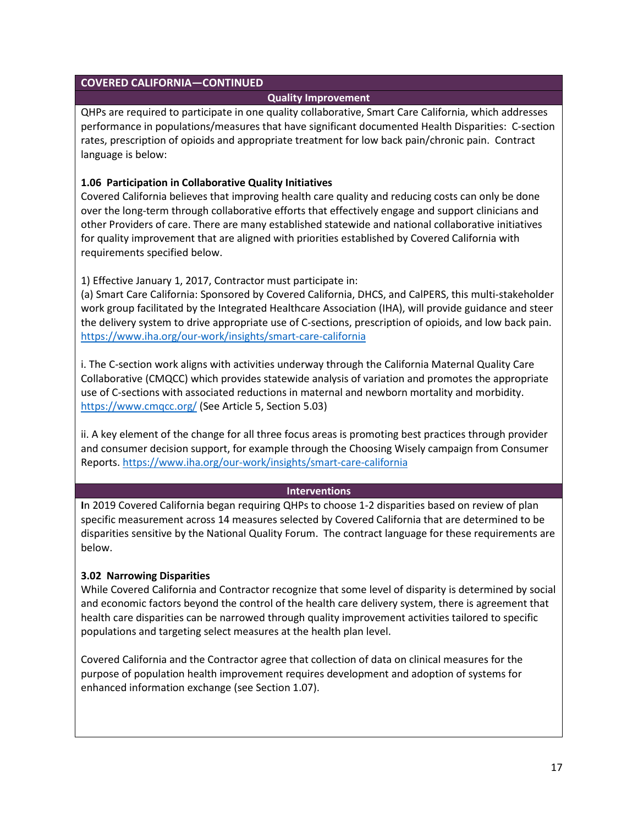### **COVERED CALIFORNIA—CONTINUED**

#### **Quality Improvement**

QHPs are required to participate in one quality collaborative, Smart Care California, which addresses performance in populations/measures that have significant documented Health Disparities: C-section rates, prescription of opioids and appropriate treatment for low back pain/chronic pain. Contract language is below:

#### **1.06 Participation in Collaborative Quality Initiatives**

Covered California believes that improving health care quality and reducing costs can only be done over the long-term through collaborative efforts that effectively engage and support clinicians and other Providers of care. There are many established statewide and national collaborative initiatives for quality improvement that are aligned with priorities established by Covered California with requirements specified below.

1) Effective January 1, 2017, Contractor must participate in:

(a) Smart Care California: Sponsored by Covered California, DHCS, and CalPERS, this multi-stakeholder work group facilitated by the Integrated Healthcare Association (IHA), will provide guidance and steer the delivery system to drive appropriate use of C-sections, prescription of opioids, and low back pain. <https://www.iha.org/our-work/insights/smart-care-california>

i. The C-section work aligns with activities underway through the California Maternal Quality Care Collaborative (CMQCC) which provides statewide analysis of variation and promotes the appropriate use of C-sections with associated reductions in maternal and newborn mortality and morbidity. <https://www.cmqcc.org/> (See Article 5, Section 5.03)

ii. A key element of the change for all three focus areas is promoting best practices through provider and consumer decision support, for example through the Choosing Wisely campaign from Consumer Reports.<https://www.iha.org/our-work/insights/smart-care-california>

#### **Interventions**

**I**n 2019 Covered California began requiring QHPs to choose 1-2 disparities based on review of plan specific measurement across 14 measures selected by Covered California that are determined to be disparities sensitive by the National Quality Forum. The contract language for these requirements are below.

#### **3.02 Narrowing Disparities**

While Covered California and Contractor recognize that some level of disparity is determined by social and economic factors beyond the control of the health care delivery system, there is agreement that health care disparities can be narrowed through quality improvement activities tailored to specific populations and targeting select measures at the health plan level.

Covered California and the Contractor agree that collection of data on clinical measures for the purpose of population health improvement requires development and adoption of systems for enhanced information exchange (see Section 1.07).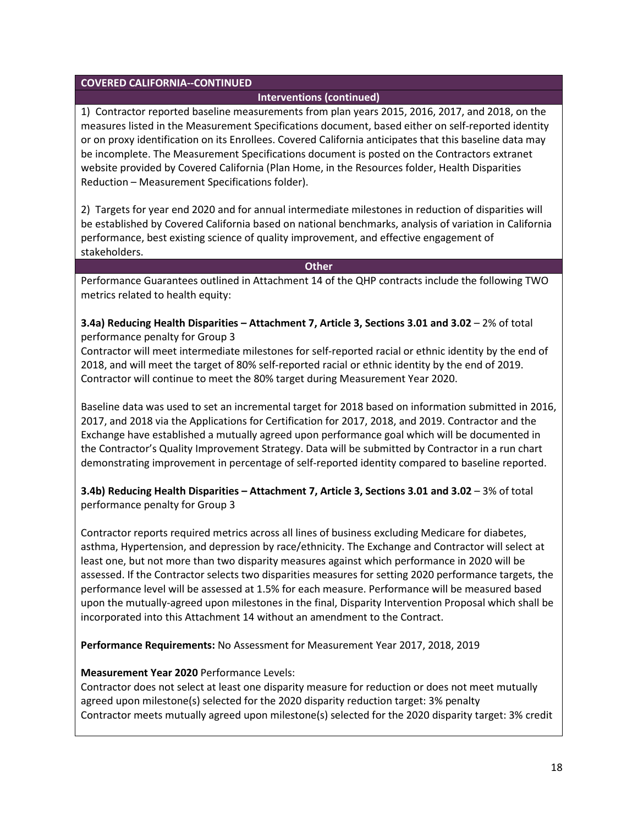#### **COVERED CALIFORNIA--CONTINUED**

#### **Interventions (continued)**

1) Contractor reported baseline measurements from plan years 2015, 2016, 2017, and 2018, on the measures listed in the Measurement Specifications document, based either on self-reported identity or on proxy identification on its Enrollees. Covered California anticipates that this baseline data may be incomplete. The Measurement Specifications document is posted on the Contractors extranet website provided by Covered California (Plan Home, in the Resources folder, Health Disparities Reduction – Measurement Specifications folder).

2) Targets for year end 2020 and for annual intermediate milestones in reduction of disparities will be established by Covered California based on national benchmarks, analysis of variation in California performance, best existing science of quality improvement, and effective engagement of stakeholders.

**Other**

Performance Guarantees outlined in Attachment 14 of the QHP contracts include the following TWO metrics related to health equity:

#### **3.4a) Reducing Health Disparities – Attachment 7, Article 3, Sections 3.01 and 3.02** – 2% of total performance penalty for Group 3

Contractor will meet intermediate milestones for self-reported racial or ethnic identity by the end of 2018, and will meet the target of 80% self-reported racial or ethnic identity by the end of 2019. Contractor will continue to meet the 80% target during Measurement Year 2020.

Baseline data was used to set an incremental target for 2018 based on information submitted in 2016, 2017, and 2018 via the Applications for Certification for 2017, 2018, and 2019. Contractor and the Exchange have established a mutually agreed upon performance goal which will be documented in the Contractor's Quality Improvement Strategy. Data will be submitted by Contractor in a run chart demonstrating improvement in percentage of self-reported identity compared to baseline reported.

# **3.4b) Reducing Health Disparities – Attachment 7, Article 3, Sections 3.01 and 3.02** – 3% of total performance penalty for Group 3

Contractor reports required metrics across all lines of business excluding Medicare for diabetes, asthma, Hypertension, and depression by race/ethnicity. The Exchange and Contractor will select at least one, but not more than two disparity measures against which performance in 2020 will be assessed. If the Contractor selects two disparities measures for setting 2020 performance targets, the performance level will be assessed at 1.5% for each measure. Performance will be measured based upon the mutually-agreed upon milestones in the final, Disparity Intervention Proposal which shall be incorporated into this Attachment 14 without an amendment to the Contract.

**Performance Requirements:** No Assessment for Measurement Year 2017, 2018, 2019

#### **Measurement Year 2020** Performance Levels:

Contractor does not select at least one disparity measure for reduction or does not meet mutually agreed upon milestone(s) selected for the 2020 disparity reduction target: 3% penalty Contractor meets mutually agreed upon milestone(s) selected for the 2020 disparity target: 3% credit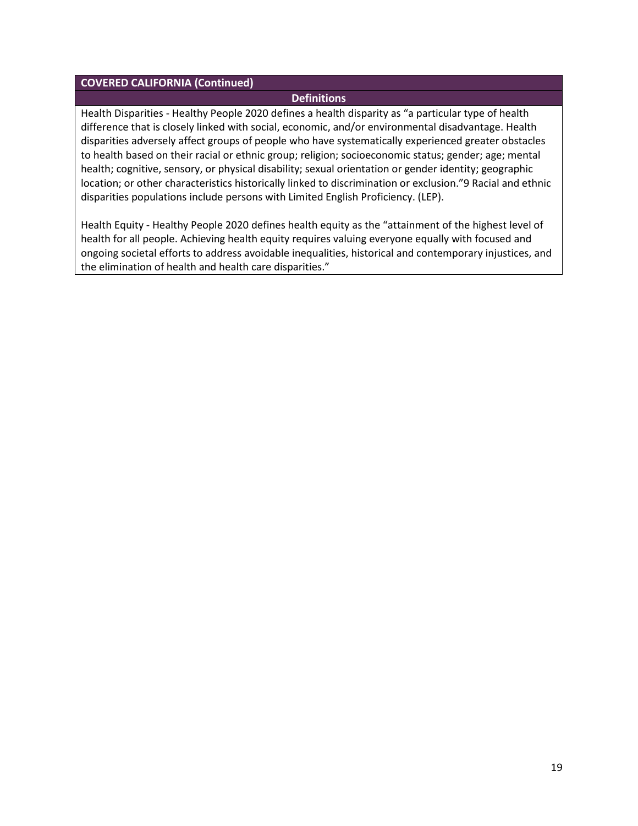#### **COVERED CALIFORNIA (Continued)**

#### **Definitions**

Health Disparities - Healthy People 2020 defines a health disparity as "a particular type of health difference that is closely linked with social, economic, and/or environmental disadvantage. Health disparities adversely affect groups of people who have systematically experienced greater obstacles to health based on their racial or ethnic group; religion; socioeconomic status; gender; age; mental health; cognitive, sensory, or physical disability; sexual orientation or gender identity; geographic location; or other characteristics historically linked to discrimination or exclusion."9 Racial and ethnic disparities populations include persons with Limited English Proficiency. (LEP).

Health Equity - Healthy People 2020 defines health equity as the "attainment of the highest level of health for all people. Achieving health equity requires valuing everyone equally with focused and ongoing societal efforts to address avoidable inequalities, historical and contemporary injustices, and the elimination of health and health care disparities."